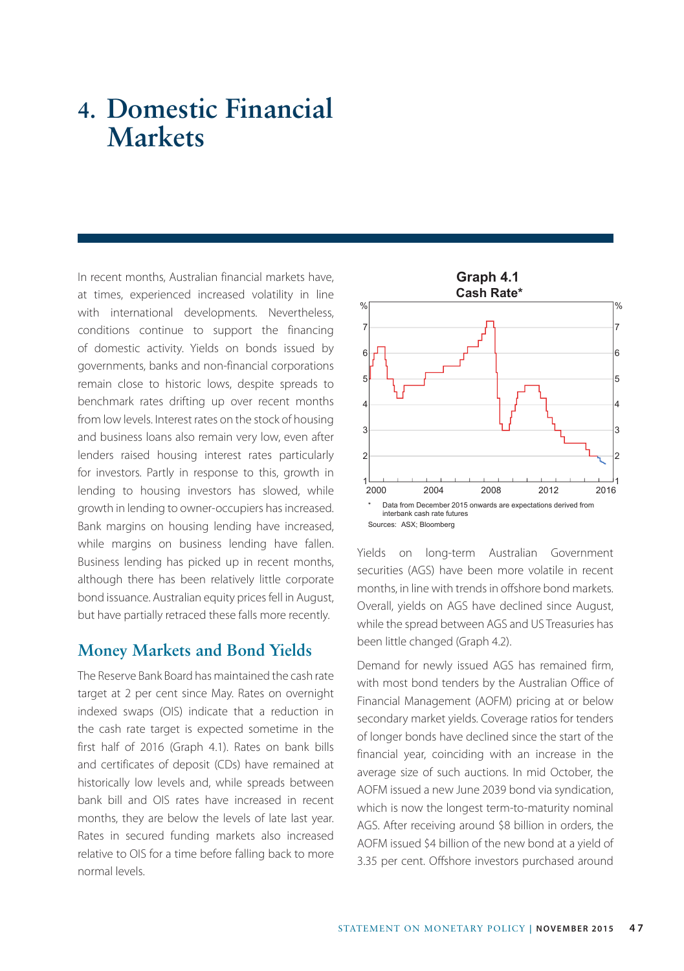# **4. Domestic Financial Markets**

In recent months, Australian financial markets have, at times, experienced increased volatility in line with international developments. Nevertheless, conditions continue to support the financing of domestic activity. Yields on bonds issued by governments, banks and non-financial corporations remain close to historic lows, despite spreads to benchmark rates drifting up over recent months from low levels. Interest rates on the stock of housing and business loans also remain very low, even after lenders raised housing interest rates particularly for investors. Partly in response to this, growth in lending to housing investors has slowed, while growth in lending to owner-occupiers has increased. Bank margins on housing lending have increased, while margins on business lending have fallen. Business lending has picked up in recent months, although there has been relatively little corporate bond issuance. Australian equity prices fell in August, but have partially retraced these falls more recently.

## **Money Markets and Bond Yields**

The Reserve Bank Board has maintained the cash rate target at 2 per cent since May. Rates on overnight indexed swaps (OIS) indicate that a reduction in the cash rate target is expected sometime in the first half of 2016 (Graph 4.1). Rates on bank bills and certificates of deposit (CDs) have remained at historically low levels and, while spreads between bank bill and OIS rates have increased in recent months, they are below the levels of late last year. Rates in secured funding markets also increased relative to OIS for a time before falling back to more normal levels.



Yields on long-term Australian Government securities (AGS) have been more volatile in recent months, in line with trends in offshore bond markets. Overall, yields on AGS have declined since August, while the spread between AGS and US Treasuries has been little changed (Graph 4.2).

Demand for newly issued AGS has remained firm, with most bond tenders by the Australian Office of Financial Management (AOFM) pricing at or below secondary market yields. Coverage ratios for tenders of longer bonds have declined since the start of the financial year, coinciding with an increase in the average size of such auctions. In mid October, the AOFM issued a new June 2039 bond via syndication, which is now the longest term-to-maturity nominal AGS. After receiving around \$8 billion in orders, the AOFM issued \$4 billion of the new bond at a yield of 3.35 per cent. Offshore investors purchased around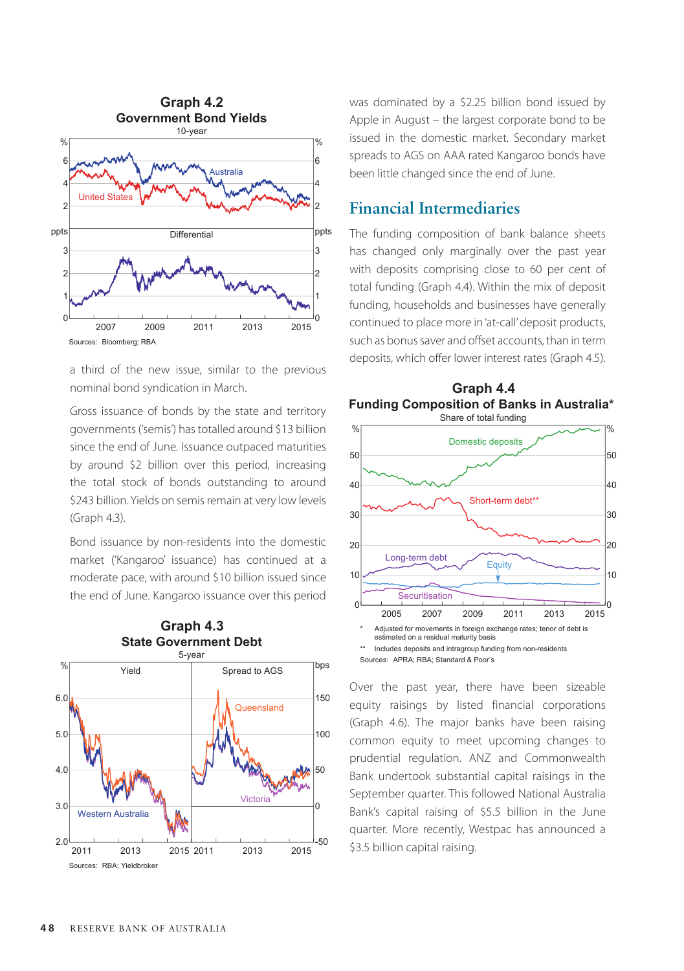

a third of the new issue, similar to the previous nominal bond syndication in March.

Gross issuance of bonds by the state and territory governments ('semis') has totalled around \$13 billion since the end of June. Issuance outpaced maturities by around \$2 billion over this period, increasing the total stock of bonds outstanding to around \$243 billion. Yields on semis remain at very low levels (Graph 4.3).

Bond issuance by non-residents into the domestic market ('Kangaroo' issuance) has continued at a moderate pace, with around \$10 billion issued since the end of June. Kangaroo issuance over this period



was dominated by a \$2.25 billion bond issued by Apple in August – the largest corporate bond to be issued in the domestic market. Secondary market spreads to AGS on AAA rated Kangaroo bonds have been little changed since the end of June.

### **Financial Intermediaries**

The funding composition of bank balance sheets has changed only marginally over the past year with deposits comprising close to 60 per cent of total funding (Graph 4.4). Within the mix of deposit funding, households and businesses have generally continued to place more in 'at-call' deposit products, such as bonus saver and offset accounts, than in term deposits, which offer lower interest rates (Graph 4.5).

**Graph 4.4**



Over the past year, there have been sizeable equity raisings by listed financial corporations (Graph 4.6). The major banks have been raising common equity to meet upcoming changes to prudential regulation. ANZ and Commonwealth Bank undertook substantial capital raisings in the September quarter. This followed National Australia Bank's capital raising of \$5.5 billion in the June quarter. More recently, Westpac has announced a \$3.5 billion capital raising.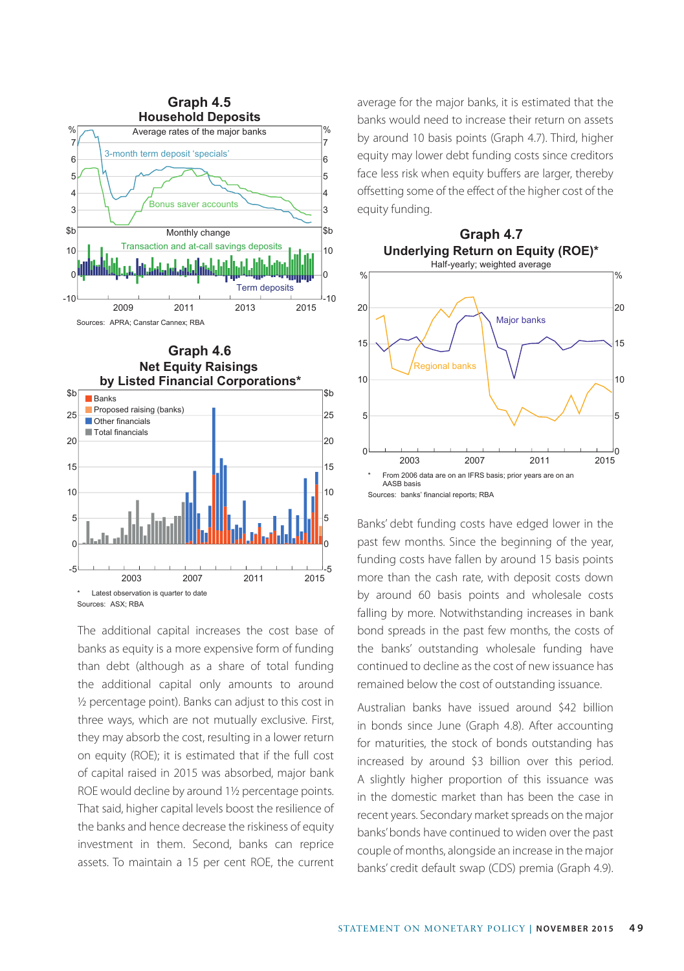



The additional capital increases the cost base of banks as equity is a more expensive form of funding than debt (although as a share of total funding the additional capital only amounts to around ½ percentage point). Banks can adjust to this cost in three ways, which are not mutually exclusive. First, they may absorb the cost, resulting in a lower return on equity (ROE); it is estimated that if the full cost of capital raised in 2015 was absorbed, major bank ROE would decline by around 1½ percentage points. That said, higher capital levels boost the resilience of the banks and hence decrease the riskiness of equity investment in them. Second, banks can reprice assets. To maintain a 15 per cent ROE, the current average for the major banks, it is estimated that the banks would need to increase their return on assets by around 10 basis points (Graph 4.7). Third, higher equity may lower debt funding costs since creditors face less risk when equity buffers are larger, thereby offsetting some of the effect of the higher cost of the equity funding.



Banks' debt funding costs have edged lower in the past few months. Since the beginning of the year, funding costs have fallen by around 15 basis points more than the cash rate, with deposit costs down by around 60 basis points and wholesale costs falling by more. Notwithstanding increases in bank bond spreads in the past few months, the costs of the banks' outstanding wholesale funding have continued to decline as the cost of new issuance has remained below the cost of outstanding issuance.

Australian banks have issued around \$42 billion in bonds since June (Graph 4.8). After accounting for maturities, the stock of bonds outstanding has increased by around \$3 billion over this period. A slightly higher proportion of this issuance was in the domestic market than has been the case in recent years. Secondary market spreads on the major banks' bonds have continued to widen over the past couple of months, alongside an increase in the major banks' credit default swap (CDS) premia (Graph 4.9).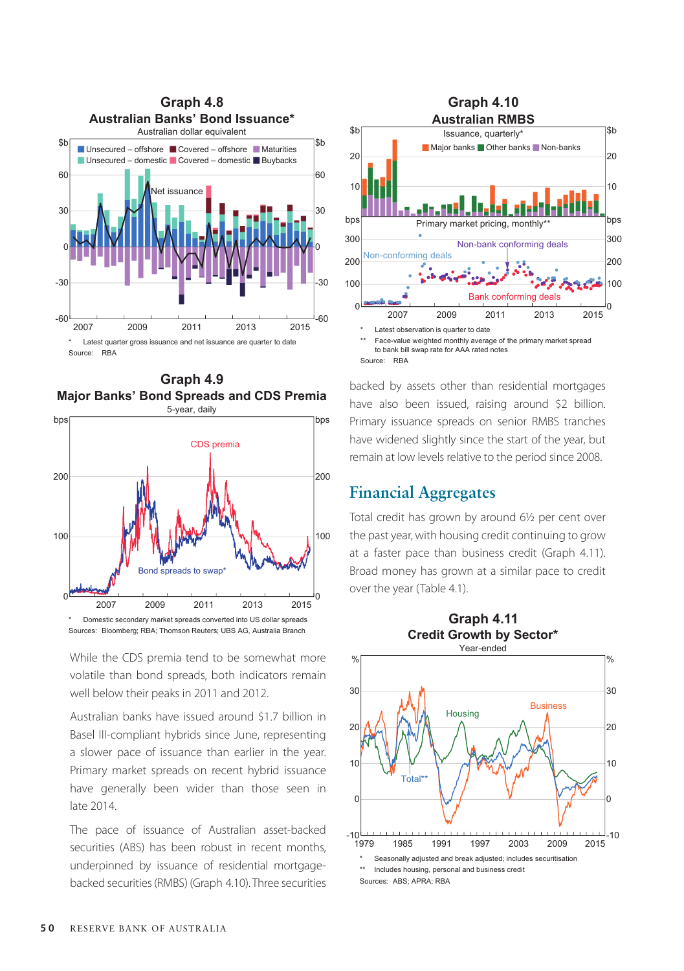





Sources: Bloomberg; RBA; Thomson Reuters; UBS AG, Australia Branch

While the CDS premia tend to be somewhat more volatile than bond spreads, both indicators remain well below their peaks in 2011 and 2012.

Australian banks have issued around \$1.7 billion in Basel III-compliant hybrids since June, representing a slower pace of issuance than earlier in the year. Primary market spreads on recent hybrid issuance have generally been wider than those seen in late 2014.

The pace of issuance of Australian asset-backed securities (ABS) has been robust in recent months, underpinned by issuance of residential mortgagebacked securities (RMBS) (Graph 4.10). Three securities



backed by assets other than residential mortgages have also been issued, raising around \$2 billion. Primary issuance spreads on senior RMBS tranches have widened slightly since the start of the year, but remain at low levels relative to the period since 2008.

#### **Financial Aggregates**

Total credit has grown by around 6½ per cent over the past year, with housing credit continuing to grow at a faster pace than business credit (Graph 4.11). Broad money has grown at a similar pace to credit over the year (Table 4.1).

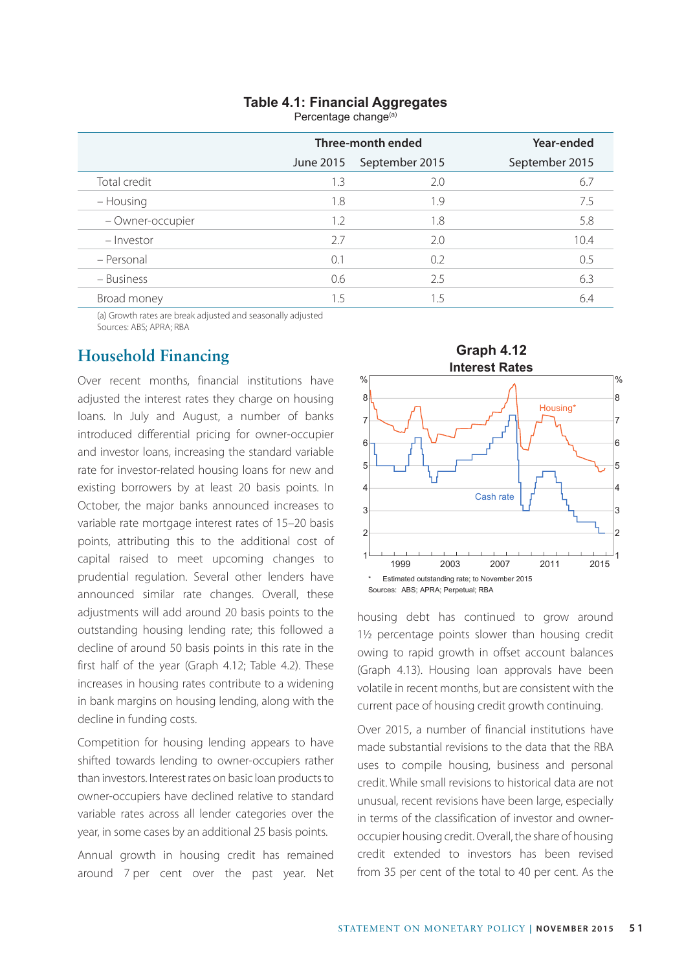# **Table 4.1: Financial Aggregates**

Percentage change<sup>(a)</sup>

|                  | Three-month ended |                | Year-ended     |
|------------------|-------------------|----------------|----------------|
|                  | June 2015         | September 2015 | September 2015 |
| Total credit     | 1.3               | 2.0            | 6.7            |
| – Housing        | 1.8               | 1.9            | 7.5            |
| - Owner-occupier | 1.2               | 1.8            | 5.8            |
| – Investor       | 27                | 2.0            | 10.4           |
| - Personal       | 0.1               | 0.2            | 0.5            |
| - Business       | 0.6               | 2.5            | 6.3            |
| Broad money      | 1.5               | 1.5            | 6.4            |

(a) Growth rates are break adjusted and seasonally adjusted Sources: ABS; APRA; RBA

# **Household Financing**

Over recent months, financial institutions have adjusted the interest rates they charge on housing loans. In July and August, a number of banks introduced differential pricing for owner-occupier and investor loans, increasing the standard variable rate for investor-related housing loans for new and existing borrowers by at least 20 basis points. In October, the major banks announced increases to variable rate mortgage interest rates of 15–20 basis points, attributing this to the additional cost of capital raised to meet upcoming changes to prudential regulation. Several other lenders have announced similar rate changes. Overall, these adjustments will add around 20 basis points to the outstanding housing lending rate; this followed a decline of around 50 basis points in this rate in the first half of the year (Graph 4.12; Table 4.2). These increases in housing rates contribute to a widening in bank margins on housing lending, along with the decline in funding costs.

Competition for housing lending appears to have shifted towards lending to owner-occupiers rather than investors. Interest rates on basic loan products to owner-occupiers have declined relative to standard variable rates across all lender categories over the year, in some cases by an additional 25 basis points.

Annual growth in housing credit has remained around 7 per cent over the past year. Net



housing debt has continued to grow around 11/2 percentage points slower than housing credit owing to rapid growth in offset account balances (Graph 4.13). Housing loan approvals have been volatile in recent months, but are consistent with the current pace of housing credit growth continuing.

Over 2015, a number of financial institutions have made substantial revisions to the data that the RBA uses to compile housing, business and personal credit. While small revisions to historical data are not unusual, recent revisions have been large, especially in terms of the classification of investor and owneroccupier housing credit. Overall, the share of housing credit extended to investors has been revised from 35 per cent of the total to 40 per cent. As the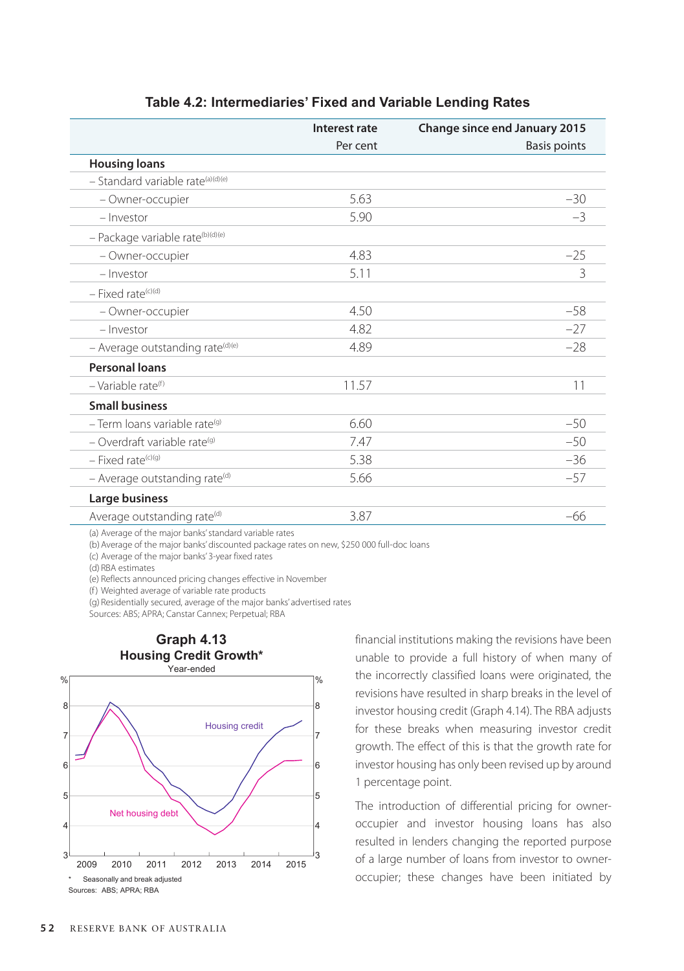|                                              | Interest rate | <b>Change since end January 2015</b> |
|----------------------------------------------|---------------|--------------------------------------|
|                                              | Per cent      | <b>Basis points</b>                  |
| <b>Housing loans</b>                         |               |                                      |
| - Standard variable rate(a)(d)(e)            |               |                                      |
| - Owner-occupier                             | 5.63          | $-30$                                |
| - Investor                                   | 5.90          | $-3$                                 |
| - Package variable rate <sup>(b)(d)(e)</sup> |               |                                      |
| - Owner-occupier                             | 4.83          | $-25$                                |
| - Investor                                   | 5.11          | 3                                    |
| $-$ Fixed rate <sup>(c)(d)</sup>             |               |                                      |
| - Owner-occupier                             | 4.50          | $-58$                                |
| - Investor                                   | 4.82          | $-27$                                |
| - Average outstanding rate <sup>(d)(e)</sup> | 4.89          | $-28$                                |
| <b>Personal loans</b>                        |               |                                      |
| $-$ Variable rate <sup>(f)</sup>             | 11.57         | 11                                   |
| <b>Small business</b>                        |               |                                      |
| $-$ Term loans variable rate <sup>(g)</sup>  | 6.60          | $-50$                                |
| - Overdraft variable rate <sup>(g)</sup>     | 7.47          | $-50$                                |
| $-$ Fixed rate <sup>(c)(g)</sup>             | 5.38          | $-36$                                |
| - Average outstanding rate <sup>(d)</sup>    | 5.66          | $-57$                                |
| Large business                               |               |                                      |
| Average outstanding rate <sup>(d)</sup>      | 3.87          | $-66$                                |

#### **Table 4.2: Intermediaries' Fixed and Variable Lending Rates**

(a) Average of the major banks' standard variable rates

(b)Average of the major banks' discounted package rates on new, \$250 000 full-doc loans

(c) Average of the major banks' 3-year fixed rates

(d) RBA estimates

(e) Reflects announced pricing changes effective in November

(f) Weighted average of variable rate products

(g) Residentially secured, average of the major banks' advertised rates

Sources: ABS; APRA; Canstar Cannex; Perpetual; RBA



financial institutions making the revisions have been unable to provide a full history of when many of the incorrectly classified loans were originated, the revisions have resulted in sharp breaks in the level of investor housing credit (Graph 4.14). The RBA adjusts for these breaks when measuring investor credit growth. The effect of this is that the growth rate for investor housing has only been revised up by around 1 percentage point.

The introduction of differential pricing for owneroccupier and investor housing loans has also resulted in lenders changing the reported purpose of a large number of loans from investor to owneroccupier; these changes have been initiated by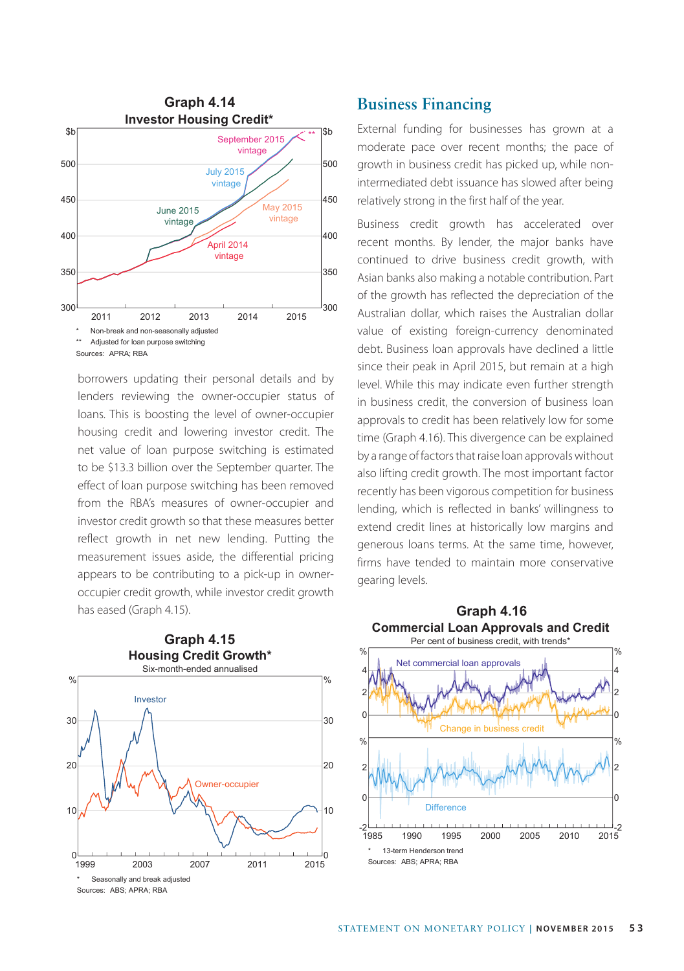

borrowers updating their personal details and by lenders reviewing the owner-occupier status of loans. This is boosting the level of owner-occupier housing credit and lowering investor credit. The net value of loan purpose switching is estimated to be \$13.3 billion over the September quarter. The effect of loan purpose switching has been removed from the RBA's measures of owner-occupier and investor credit growth so that these measures better reflect growth in net new lending. Putting the measurement issues aside, the differential pricing appears to be contributing to a pick-up in owneroccupier credit growth, while investor credit growth has eased (Graph 4.15).



### **Business Financing**

External funding for businesses has grown at a moderate pace over recent months; the pace of growth in business credit has picked up, while nonintermediated debt issuance has slowed after being relatively strong in the first half of the year.

Business credit growth has accelerated over recent months. By lender, the major banks have continued to drive business credit growth, with Asian banks also making a notable contribution. Part of the growth has reflected the depreciation of the Australian dollar, which raises the Australian dollar value of existing foreign-currency denominated debt. Business loan approvals have declined a little since their peak in April 2015, but remain at a high level. While this may indicate even further strength in business credit, the conversion of business loan approvals to credit has been relatively low for some time (Graph 4.16). This divergence can be explained by a range of factors that raise loan approvals without also lifting credit growth. The most important factor recently has been vigorous competition for business lending, which is reflected in banks' willingness to extend credit lines at historically low margins and generous loans terms. At the same time, however, firms have tended to maintain more conservative gearing levels.

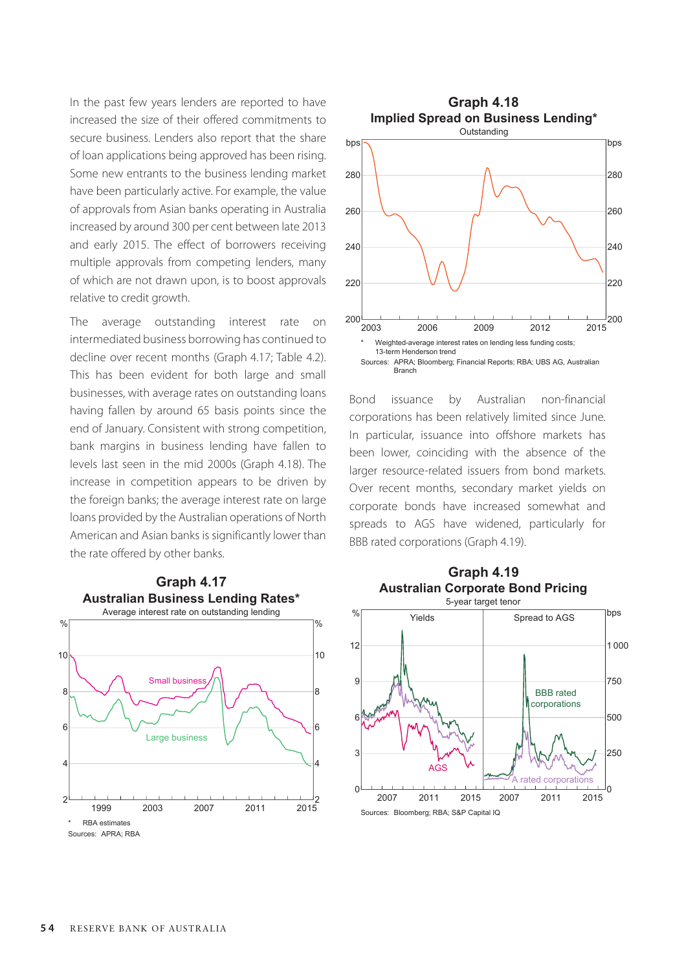In the past few years lenders are reported to have increased the size of their offered commitments to secure business. Lenders also report that the share of loan applications being approved has been rising. Some new entrants to the business lending market have been particularly active. For example, the value of approvals from Asian banks operating in Australia increased by around 300 per cent between late 2013 and early 2015. The effect of borrowers receiving multiple approvals from competing lenders, many of which are not drawn upon, is to boost approvals relative to credit growth.

The average outstanding interest rate on intermediated business borrowing has continued to decline over recent months (Graph 4.17; Table 4.2). This has been evident for both large and small businesses, with average rates on outstanding loans having fallen by around 65 basis points since the end of January. Consistent with strong competition, bank margins in business lending have fallen to levels last seen in the mid 2000s (Graph 4.18). The increase in competition appears to be driven by the foreign banks; the average interest rate on large loans provided by the Australian operations of North American and Asian banks is significantly lower than the rate offered by other banks.







Bond issuance by Australian non-financial corporations has been relatively limited since June. In particular, issuance into offshore markets has been lower, coinciding with the absence of the larger resource-related issuers from bond markets. Over recent months, secondary market yields on corporate bonds have increased somewhat and spreads to AGS have widened, particularly for BBB rated corporations (Graph 4.19).

**Graph 4.19**



Sources: Bloomberg; RBA; S&P Capital IQ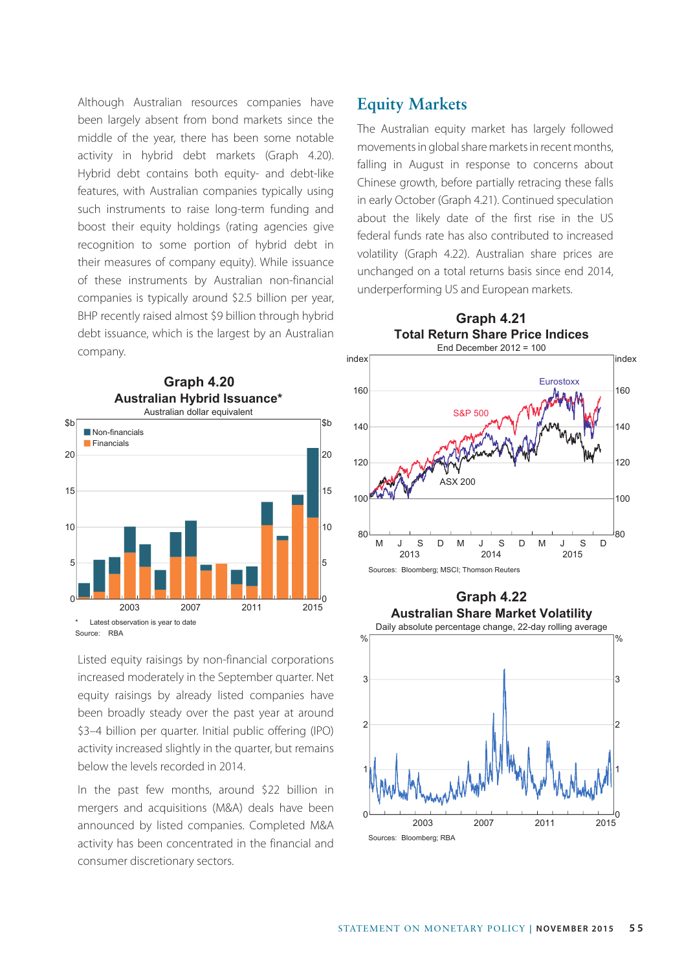Although Australian resources companies have been largely absent from bond markets since the middle of the year, there has been some notable activity in hybrid debt markets (Graph 4.20). Hybrid debt contains both equity- and debt-like features, with Australian companies typically using such instruments to raise long-term funding and boost their equity holdings (rating agencies give recognition to some portion of hybrid debt in their measures of company equity). While issuance of these instruments by Australian non-financial companies is typically around \$2.5 billion per year, BHP recently raised almost \$9 billion through hybrid debt issuance, which is the largest by an Australian company.



Listed equity raisings by non-financial corporations increased moderately in the September quarter. Net equity raisings by already listed companies have been broadly steady over the past year at around \$3–4 billion per quarter. Initial public offering (IPO) activity increased slightly in the quarter, but remains below the levels recorded in 2014.

In the past few months, around \$22 billion in mergers and acquisitions (M&A) deals have been announced by listed companies. Completed M&A activity has been concentrated in the financial and consumer discretionary sectors.

# **Equity Markets**

The Australian equity market has largely followed movements in global share markets in recent months, falling in August in response to concerns about Chinese growth, before partially retracing these falls in early October (Graph 4.21). Continued speculation about the likely date of the first rise in the US federal funds rate has also contributed to increased volatility (Graph 4.22). Australian share prices are unchanged on a total returns basis since end 2014, underperforming US and European markets.



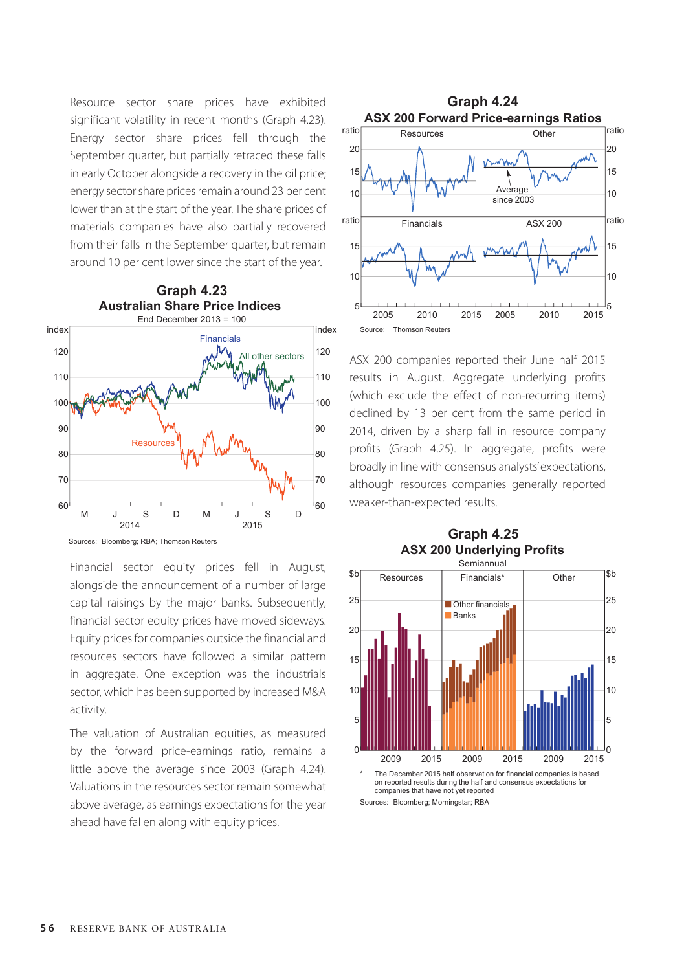Resource sector share prices have exhibited significant volatility in recent months (Graph 4.23). Energy sector share prices fell through the September quarter, but partially retraced these falls in early October alongside a recovery in the oil price; energy sector share prices remain around 23 per cent lower than at the start of the year. The share prices of materials companies have also partially recovered from their falls in the September quarter, but remain around 10 per cent lower since the start of the year.



Financial sector equity prices fell in August, alongside the announcement of a number of large capital raisings by the major banks. Subsequently, financial sector equity prices have moved sideways. Equity prices for companies outside the financial and resources sectors have followed a similar pattern in aggregate. One exception was the industrials sector, which has been supported by increased M&A activity.

The valuation of Australian equities, as measured by the forward price-earnings ratio, remains a little above the average since 2003 (Graph 4.24). Valuations in the resources sector remain somewhat above average, as earnings expectations for the year ahead have fallen along with equity prices.



ASX 200 companies reported their June half 2015 results in August. Aggregate underlying profits (which exclude the effect of non-recurring items) declined by 13 per cent from the same period in 2014, driven by a sharp fall in resource company profits (Graph 4.25). In aggregate, profits were broadly in line with consensus analysts' expectations, although resources companies generally reported weaker-than-expected results.





on reported results during the half and consensus expectations for companies that have not yet reported Sources: Bloomberg; Morningstar; RBA